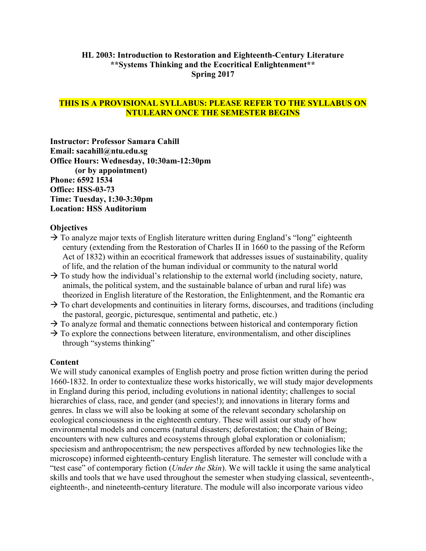## **HL 2003: Introduction to Restoration and Eighteenth-Century Literature \*\*Systems Thinking and the Ecocritical Enlightenment\*\* Spring 2017**

## **THIS IS A PROVISIONAL SYLLABUS: PLEASE REFER TO THE SYLLABUS ON NTULEARN ONCE THE SEMESTER BEGINS**

**Instructor: Professor Samara Cahill Email: sacahill@ntu.edu.sg Office Hours: Wednesday, 10:30am-12:30pm (or by appointment) Phone: 6592 1534 Office: HSS-03-73 Time: Tuesday, 1:30-3:30pm Location: HSS Auditorium**

#### **Objectives**

- $\rightarrow$  To analyze major texts of English literature written during England's "long" eighteenth century (extending from the Restoration of Charles II in 1660 to the passing of the Reform Act of 1832) within an ecocritical framework that addresses issues of sustainability, quality of life, and the relation of the human individual or community to the natural world
- $\rightarrow$  To study how the individual's relationship to the external world (including society, nature, animals, the political system, and the sustainable balance of urban and rural life) was theorized in English literature of the Restoration, the Enlightenment, and the Romantic era
- $\rightarrow$  To chart developments and continuities in literary forms, discourses, and traditions (including the pastoral, georgic, picturesque, sentimental and pathetic, etc.)
- $\rightarrow$  To analyze formal and thematic connections between historical and contemporary fiction
- $\rightarrow$  To explore the connections between literature, environmentalism, and other disciplines through "systems thinking"

#### **Content**

We will study canonical examples of English poetry and prose fiction written during the period 1660-1832. In order to contextualize these works historically, we will study major developments in England during this period, including evolutions in national identity; challenges to social hierarchies of class, race, and gender (and species!); and innovations in literary forms and genres. In class we will also be looking at some of the relevant secondary scholarship on ecological consciousness in the eighteenth century. These will assist our study of how environmental models and concerns (natural disasters; deforestation; the Chain of Being; encounters with new cultures and ecosystems through global exploration or colonialism; speciesism and anthropocentrism; the new perspectives afforded by new technologies like the microscope) informed eighteenth-century English literature. The semester will conclude with a "test case" of contemporary fiction (*Under the Skin*). We will tackle it using the same analytical skills and tools that we have used throughout the semester when studying classical, seventeenth-, eighteenth-, and nineteenth-century literature. The module will also incorporate various video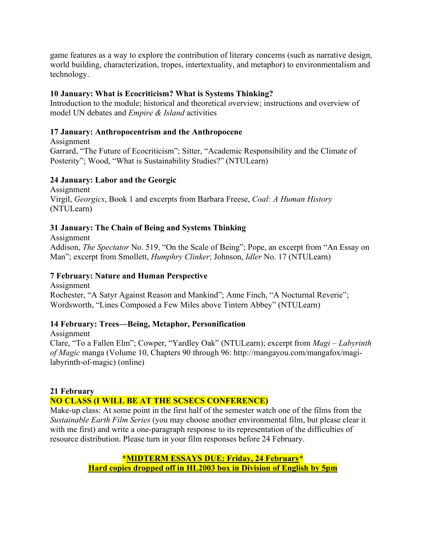game features as a way to explore the contribution of literary concerns (such as narrative design, world building, characterization, tropes, intertextuality, and metaphor) to environmentalism and technology.

## **10 January: What is Ecocriticism? What is Systems Thinking?**

Introduction to the module; historical and theoretical overview; instructions and overview of model UN debates and *Empire & Island* activities

# **17 January: Anthropocentrism and the Anthropocene**

Assignment Garrard, "The Future of Ecocriticism"; Sitter, "Academic Responsibility and the Climate of Posterity"; Wood, "What is Sustainability Studies?" (NTULearn)

## **24 January: Labor and the Georgic**

Assignment Virgil, *Georgics*, Book 1 and excerpts from Barbara Freese, *Coal: A Human History* (NTULearn)

# **31 January: The Chain of Being and Systems Thinking**

Assignment Addison, *The Spectator* No. 519, "On the Scale of Being"; Pope, an excerpt from "An Essay on Man"; excerpt from Smollett, *Humphry Clinker*; Johnson, *Idler* No. 17 (NTULearn)

# **7 February: Nature and Human Perspective**

Assignment Rochester, "A Satyr Against Reason and Mankind"; Anne Finch, "A Nocturnal Reverie"; Wordsworth, "Lines Composed a Few Miles above Tintern Abbey" (NTULearn)

# **14 February: Trees—Being, Metaphor, Personification**

Assignment Clare, "To a Fallen Elm"; Cowper, "Yardley Oak" (NTULearn); excerpt from *Magi* – *Labyrinth of Magic* manga (Volume 10, Chapters 90 through 96: http://mangayou.com/mangafox/magilabyrinth-of-magic) (online)

# **21 February**

# **NO CLASS (I WILL BE AT THE SCSECS CONFERENCE)**

Make-up class: At some point in the first half of the semester watch one of the films from the *Sustainable Earth Film Series* (you may choose another environmental film, but please clear it with me first) and write a one-paragraph response to its representation of the difficulties of resource distribution. Please turn in your film responses before 24 February.

> **\*MIDTERM ESSAYS DUE: Friday, 24 February\* Hard copies dropped off in HL2003 box in Division of English by 5pm**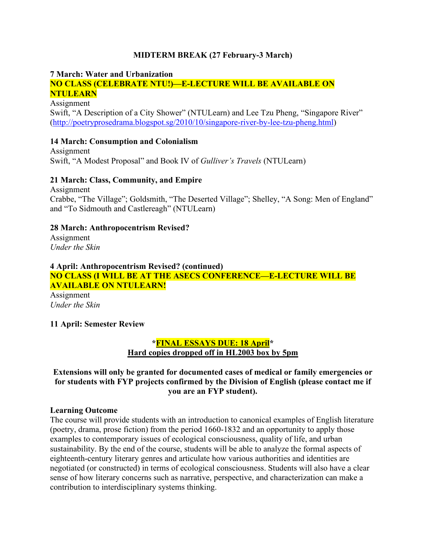#### **MIDTERM BREAK (27 February-3 March)**

#### **7 March: Water and Urbanization**

## **NO CLASS (CELEBRATE NTU!)—E-LECTURE WILL BE AVAILABLE ON NTULEARN**

Assignment Swift, "A Description of a City Shower" (NTULearn) and Lee Tzu Pheng, "Singapore River" [\(http://poetryprosedrama.blogspot.sg/2010/10/singapore-river-by-lee-tzu-pheng.html\)](http://poetryprosedrama.blogspot.sg/2010/10/singapore-river-by-lee-tzu-pheng.html)

#### **14 March: Consumption and Colonialism**

Assignment Swift, "A Modest Proposal" and Book IV of *Gulliver's Travels* (NTULearn)

#### **21 March: Class, Community, and Empire**

Assignment Crabbe, "The Village"; Goldsmith, "The Deserted Village"; Shelley, "A Song: Men of England" and "To Sidmouth and Castlereagh" (NTULearn)

## **28 March: Anthropocentrism Revised?**

Assignment *Under the Skin*

#### **4 April: Anthropocentrism Revised? (continued) NO CLASS (I WILL BE AT THE ASECS CONFERENCE—E-LECTURE WILL BE AVAILABLE ON NTULEARN!**

Assignment *Under the Skin*

## **11 April: Semester Review**

## **\*FINAL ESSAYS DUE: 18 April\* Hard copies dropped off in HL2003 box by 5pm**

**Extensions will only be granted for documented cases of medical or family emergencies or for students with FYP projects confirmed by the Division of English (please contact me if you are an FYP student).**

#### **Learning Outcome**

The course will provide students with an introduction to canonical examples of English literature (poetry, drama, prose fiction) from the period 1660-1832 and an opportunity to apply those examples to contemporary issues of ecological consciousness, quality of life, and urban sustainability. By the end of the course, students will be able to analyze the formal aspects of eighteenth-century literary genres and articulate how various authorities and identities are negotiated (or constructed) in terms of ecological consciousness. Students will also have a clear sense of how literary concerns such as narrative, perspective, and characterization can make a contribution to interdisciplinary systems thinking.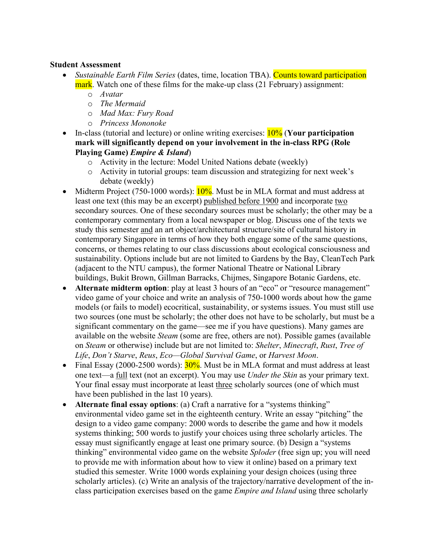#### **Student Assessment**

- *Sustainable Earth Film Series* (dates, time, location TBA). Counts toward participation mark. Watch one of these films for the make-up class (21 February) assignment:
	- o *Avatar*
	- o *The Mermaid*
	- o *Mad Max: Fury Road*
	- o *Princess Mononoke*
- In-class (tutorial and lecture) or online writing exercises: 10% (**Your participation mark will significantly depend on your involvement in the in-class RPG (Role Playing Game)** *Empire & Island*)
	- o Activity in the lecture: Model United Nations debate (weekly)
	- o Activity in tutorial groups: team discussion and strategizing for next week's debate (weekly)
- Midterm Project (750-1000 words):  $10\%$ . Must be in MLA format and must address at least one text (this may be an excerpt) published before 1900 and incorporate two secondary sources. One of these secondary sources must be scholarly; the other may be a contemporary commentary from a local newspaper or blog. Discuss one of the texts we study this semester and an art object/architectural structure/site of cultural history in contemporary Singapore in terms of how they both engage some of the same questions, concerns, or themes relating to our class discussions about ecological consciousness and sustainability. Options include but are not limited to Gardens by the Bay, CleanTech Park (adjacent to the NTU campus), the former National Theatre or National Library buildings, Bukit Brown, Gillman Barracks, Chijmes, Singapore Botanic Gardens, etc.
- **Alternate midterm option**: play at least 3 hours of an "eco" or "resource management" video game of your choice and write an analysis of 750-1000 words about how the game models (or fails to model) ecocritical, sustainability, or systems issues. You must still use two sources (one must be scholarly; the other does not have to be scholarly, but must be a significant commentary on the game—see me if you have questions). Many games are available on the website *Steam* (some are free, others are not). Possible games (available on *Steam* or otherwise) include but are not limited to: *Shelter*, *Minecraft*, *Rust*, *Tree of Life*, *Don't Starve*, *Reus*, *Eco—Global Survival Game*, or *Harvest Moon*.
- Final Essay (2000-2500 words):  $30\%$ . Must be in MLA format and must address at least one text—a full text (not an excerpt). You may use *Under the Skin* as your primary text. Your final essay must incorporate at least three scholarly sources (one of which must have been published in the last 10 years).
- **Alternate final essay options**: (a) Craft a narrative for a "systems thinking" environmental video game set in the eighteenth century. Write an essay "pitching" the design to a video game company: 2000 words to describe the game and how it models systems thinking; 500 words to justify your choices using three scholarly articles. The essay must significantly engage at least one primary source. (b) Design a "systems thinking" environmental video game on the website *Sploder* (free sign up; you will need to provide me with information about how to view it online) based on a primary text studied this semester. Write 1000 words explaining your design choices (using three scholarly articles). (c) Write an analysis of the trajectory/narrative development of the inclass participation exercises based on the game *Empire and Island* using three scholarly